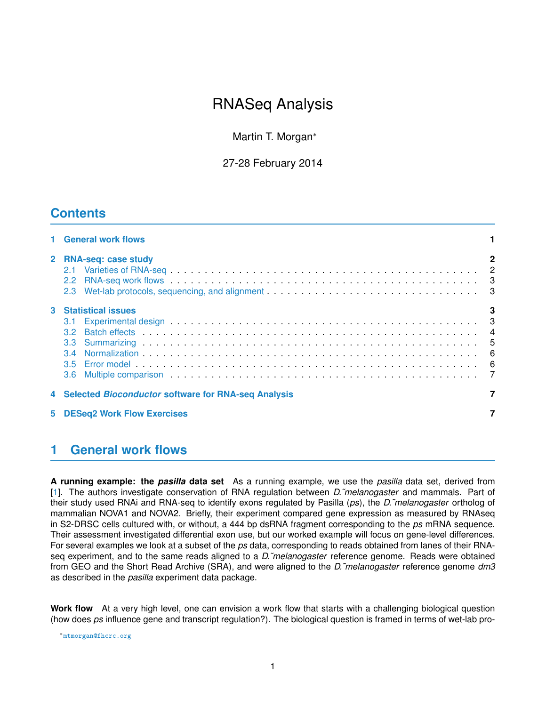# RNASeq Analysis

Martin T. Morgan<sup>∗</sup>

27-28 February 2014

## **Contents**

|   | 1 General work flows                                                                                                                                                                                                                                        |             |
|---|-------------------------------------------------------------------------------------------------------------------------------------------------------------------------------------------------------------------------------------------------------------|-------------|
|   | 2 RNA-seq: case study<br>2.2 RNA-seq work flows 3<br>2.3 Wet-lab protocols, sequencing, and alignment 3                                                                                                                                                     | $\mathbf 2$ |
| 3 | <b>Statistical issues</b><br>Experimental design entrance in the contract of the contract of the contract of the contract of the contract of the contract of the contract of the contract of the contract of the contract of the contract of the contract o | 3           |
|   | 4 Selected Bioconductor software for RNA-seq Analysis                                                                                                                                                                                                       |             |
| 5 | <b>DESeq2 Work Flow Exercises</b>                                                                                                                                                                                                                           |             |

## <span id="page-0-0"></span>**1 General work flows**

**A running example: the** *pasilla* **data set** As a running example, we use the *pasilla* data set, derived from [\[1\]](#page-6-2). The authors investigate conservation of RNA regulation between *D.˜melanogaster* and mammals. Part of their study used RNAi and RNA-seq to identify exons regulated by Pasilla (*ps*), the *D.˜melanogaster* ortholog of mammalian NOVA1 and NOVA2. Briefly, their experiment compared gene expression as measured by RNAseq in S2-DRSC cells cultured with, or without, a 444 bp dsRNA fragment corresponding to the *ps* mRNA sequence. Their assessment investigated differential exon use, but our worked example will focus on gene-level differences. For several examples we look at a subset of the *ps* data, corresponding to reads obtained from lanes of their RNAseq experiment, and to the same reads aligned to a *D.˜melanogaster* reference genome. Reads were obtained from GEO and the Short Read Archive (SRA), and were aligned to the *D.˜melanogaster* reference genome *dm3* as described in the *pasilla* experiment data package.

**Work flow** At a very high level, one can envision a work flow that starts with a challenging biological question (how does *ps* influence gene and transcript regulation?). The biological question is framed in terms of wet-lab pro-

<sup>∗</sup><mtmorgan@fhcrc.org>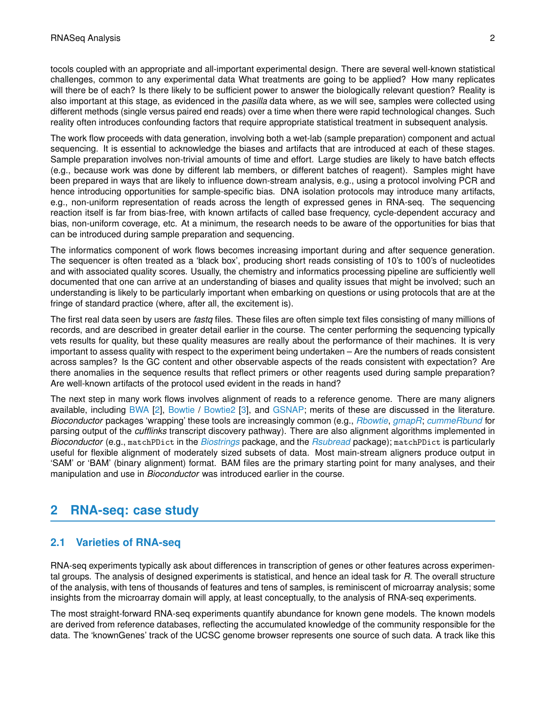tocols coupled with an appropriate and all-important experimental design. There are several well-known statistical challenges, common to any experimental data What treatments are going to be applied? How many replicates will there be of each? Is there likely to be sufficient power to answer the biologically relevant question? Reality is also important at this stage, as evidenced in the *pasilla* data where, as we will see, samples were collected using different methods (single versus paired end reads) over a time when there were rapid technological changes. Such reality often introduces confounding factors that require appropriate statistical treatment in subsequent analysis.

The work flow proceeds with data generation, involving both a wet-lab (sample preparation) component and actual sequencing. It is essential to acknowledge the biases and artifacts that are introduced at each of these stages. Sample preparation involves non-trivial amounts of time and effort. Large studies are likely to have batch effects (e.g., because work was done by different lab members, or different batches of reagent). Samples might have been prepared in ways that are likely to influence down-stream analysis, e.g., using a protocol involving PCR and hence introducing opportunities for sample-specific bias. DNA isolation protocols may introduce many artifacts, e.g., non-uniform representation of reads across the length of expressed genes in RNA-seq. The sequencing reaction itself is far from bias-free, with known artifacts of called base frequency, cycle-dependent accuracy and bias, non-uniform coverage, etc. At a minimum, the research needs to be aware of the opportunities for bias that can be introduced during sample preparation and sequencing.

The informatics component of work flows becomes increasing important during and after sequence generation. The sequencer is often treated as a 'black box', producing short reads consisting of 10's to 100's of nucleotides and with associated quality scores. Usually, the chemistry and informatics processing pipeline are sufficiently well documented that one can arrive at an understanding of biases and quality issues that might be involved; such an understanding is likely to be particularly important when embarking on questions or using protocols that are at the fringe of standard practice (where, after all, the excitement is).

The first real data seen by users are *fastq* files. These files are often simple text files consisting of many millions of records, and are described in greater detail earlier in the course. The center performing the sequencing typically vets results for quality, but these quality measures are really about the performance of their machines. It is very important to assess quality with respect to the experiment being undertaken – Are the numbers of reads consistent across samples? Is the GC content and other observable aspects of the reads consistent with expectation? Are there anomalies in the sequence results that reflect primers or other reagents used during sample preparation? Are well-known artifacts of the protocol used evident in the reads in hand?

The next step in many work flows involves alignment of reads to a reference genome. There are many aligners available, including [BWA](http://bio-bwa.sourceforge.net/) [\[2\]](#page-7-0), [Bowtie](http://bowtie-bio.sourceforge.net/) / [Bowtie2](http://bowtie-bio.sourceforge.net/bowtie2/) [\[3\]](#page-7-1), and [GSNAP;](http://research-pub.gene.com/gmap/) merits of these are discussed in the literature. *Bioconductor* packages 'wrapping' these tools are increasingly common (e.g., *[Rbowtie](http://bioconductor.org/packages/release/bioc/html/Rbowtie.html)*, *[gmapR](http://bioconductor.org/packages/release/bioc/html/gmapR.html)*; *[cummeRbund](http://bioconductor.org/packages/release/bioc/html/cummeRbund.html)* for parsing output of the *cufflinks* transcript discovery pathway). There are also alignment algorithms implemented in *Bioconductor* (e.g., matchPDict in the *[Biostrings](http://bioconductor.org/packages/release/bioc/html/Biostrings.html)* package, and the *[Rsubread](http://bioconductor.org/packages/release/bioc/html/Rsubread.html)* package); matchPDict is particularly useful for flexible alignment of moderately sized subsets of data. Most main-stream aligners produce output in 'SAM' or 'BAM' (binary alignment) format. BAM files are the primary starting point for many analyses, and their manipulation and use in *Bioconductor* was introduced earlier in the course.

## <span id="page-1-0"></span>**2 RNA-seq: case study**

### <span id="page-1-1"></span>**2.1 Varieties of RNA-seq**

RNA-seq experiments typically ask about differences in transcription of genes or other features across experimental groups. The analysis of designed experiments is statistical, and hence an ideal task for *R*. The overall structure of the analysis, with tens of thousands of features and tens of samples, is reminiscent of microarray analysis; some insights from the microarray domain will apply, at least conceptually, to the analysis of RNA-seq experiments.

The most straight-forward RNA-seq experiments quantify abundance for known gene models. The known models are derived from reference databases, reflecting the accumulated knowledge of the community responsible for the data. The 'knownGenes' track of the UCSC genome browser represents one source of such data. A track like this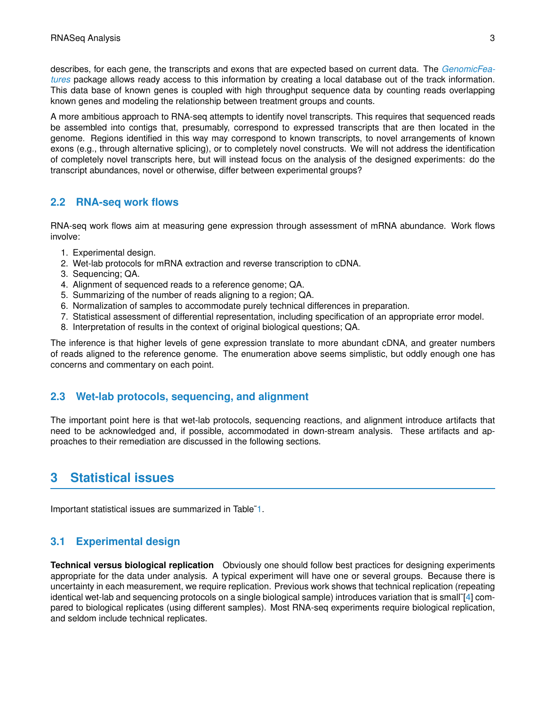describes, for each gene, the transcripts and exons that are expected based on current data. The *[GenomicFea](http://bioconductor.org/packages/release/bioc/html/GenomicFeatures.html)[tures](http://bioconductor.org/packages/release/bioc/html/GenomicFeatures.html)* package allows ready access to this information by creating a local database out of the track information. This data base of known genes is coupled with high throughput sequence data by counting reads overlapping known genes and modeling the relationship between treatment groups and counts.

A more ambitious approach to RNA-seq attempts to identify novel transcripts. This requires that sequenced reads be assembled into contigs that, presumably, correspond to expressed transcripts that are then located in the genome. Regions identified in this way may correspond to known transcripts, to novel arrangements of known exons (e.g., through alternative splicing), or to completely novel constructs. We will not address the identification of completely novel transcripts here, but will instead focus on the analysis of the designed experiments: do the transcript abundances, novel or otherwise, differ between experimental groups?

#### <span id="page-2-0"></span>**2.2 RNA-seq work flows**

RNA-seq work flows aim at measuring gene expression through assessment of mRNA abundance. Work flows involve:

- 1. Experimental design.
- 2. Wet-lab protocols for mRNA extraction and reverse transcription to cDNA.
- 3. Sequencing; QA.
- 4. Alignment of sequenced reads to a reference genome; QA.
- 5. Summarizing of the number of reads aligning to a region; QA.
- 6. Normalization of samples to accommodate purely technical differences in preparation.
- 7. Statistical assessment of differential representation, including specification of an appropriate error model.
- 8. Interpretation of results in the context of original biological questions; QA.

The inference is that higher levels of gene expression translate to more abundant cDNA, and greater numbers of reads aligned to the reference genome. The enumeration above seems simplistic, but oddly enough one has concerns and commentary on each point.

#### <span id="page-2-1"></span>**2.3 Wet-lab protocols, sequencing, and alignment**

The important point here is that wet-lab protocols, sequencing reactions, and alignment introduce artifacts that need to be acknowledged and, if possible, accommodated in down-stream analysis. These artifacts and approaches to their remediation are discussed in the following sections.

## <span id="page-2-2"></span>**3 Statistical issues**

Important statistical issues are summarized in Table[˜1.](#page-3-1)

### <span id="page-2-3"></span>**3.1 Experimental design**

**Technical versus biological replication** Obviously one should follow best practices for designing experiments appropriate for the data under analysis. A typical experiment will have one or several groups. Because there is uncertainty in each measurement, we require replication. Previous work shows that technical replication (repeating identical wet-lab and sequencing protocols on a single biological sample) introduces variation that is small˜[\[4\]](#page-7-2) compared to biological replicates (using different samples). Most RNA-seq experiments require biological replication, and seldom include technical replicates.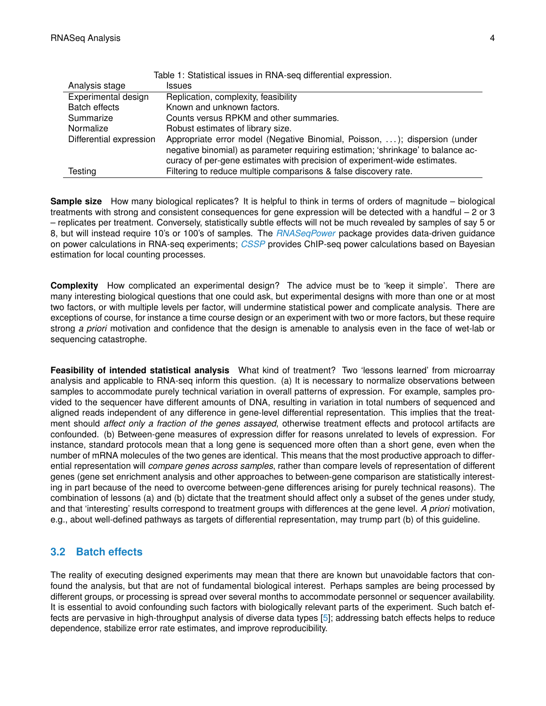<span id="page-3-1"></span>

| Table 1: Statistical issues in RNA-seg differential expression. |                                                                                                                                                                                                                                            |  |  |
|-----------------------------------------------------------------|--------------------------------------------------------------------------------------------------------------------------------------------------------------------------------------------------------------------------------------------|--|--|
| Analysis stage                                                  | <b>Issues</b>                                                                                                                                                                                                                              |  |  |
| Experimental design                                             | Replication, complexity, feasibility                                                                                                                                                                                                       |  |  |
| <b>Batch effects</b>                                            | Known and unknown factors.                                                                                                                                                                                                                 |  |  |
| Summarize                                                       | Counts versus RPKM and other summaries.                                                                                                                                                                                                    |  |  |
| Normalize                                                       | Robust estimates of library size.                                                                                                                                                                                                          |  |  |
| Differential expression                                         | Appropriate error model (Negative Binomial, Poisson, ); dispersion (under<br>negative binomial) as parameter requiring estimation; 'shrinkage' to balance ac-<br>curacy of per-gene estimates with precision of experiment-wide estimates. |  |  |
| Testing                                                         | Filtering to reduce multiple comparisons & false discovery rate.                                                                                                                                                                           |  |  |

**Sample size** How many biological replicates? It is helpful to think in terms of orders of magnitude – biological treatments with strong and consistent consequences for gene expression will be detected with a handful – 2 or 3 – replicates per treatment. Conversely, statistically subtle effects will not be much revealed by samples of say 5 or 8, but will instead require 10's or 100's of samples. The *[RNASeqPower](http://bioconductor.org/packages/release/bioc/html/RNASeqPower.html)* package provides data-driven guidance on power calculations in RNA-seq experiments; *[CSSP](http://bioconductor.org/packages/release/bioc/html/CSSP.html)* provides ChIP-seq power calculations based on Bayesian estimation for local counting processes.

**Complexity** How complicated an experimental design? The advice must be to 'keep it simple'. There are many interesting biological questions that one could ask, but experimental designs with more than one or at most two factors, or with multiple levels per factor, will undermine statistical power and complicate analysis. There are exceptions of course, for instance a time course design or an experiment with two or more factors, but these require strong *a priori* motivation and confidence that the design is amenable to analysis even in the face of wet-lab or sequencing catastrophe.

**Feasibility of intended statistical analysis** What kind of treatment? Two 'lessons learned' from microarray analysis and applicable to RNA-seq inform this question. (a) It is necessary to normalize observations between samples to accommodate purely technical variation in overall patterns of expression. For example, samples provided to the sequencer have different amounts of DNA, resulting in variation in total numbers of sequenced and aligned reads independent of any difference in gene-level differential representation. This implies that the treatment should *affect only a fraction of the genes assayed*, otherwise treatment effects and protocol artifacts are confounded. (b) Between-gene measures of expression differ for reasons unrelated to levels of expression. For instance, standard protocols mean that a long gene is sequenced more often than a short gene, even when the number of mRNA molecules of the two genes are identical. This means that the most productive approach to differential representation will *compare genes across samples*, rather than compare levels of representation of different genes (gene set enrichment analysis and other approaches to between-gene comparison are statistically interesting in part because of the need to overcome between-gene differences arising for purely technical reasons). The combination of lessons (a) and (b) dictate that the treatment should affect only a subset of the genes under study, and that 'interesting' results correspond to treatment groups with differences at the gene level. *A priori* motivation, e.g., about well-defined pathways as targets of differential representation, may trump part (b) of this guideline.

#### <span id="page-3-0"></span>**3.2 Batch effects**

The reality of executing designed experiments may mean that there are known but unavoidable factors that confound the analysis, but that are not of fundamental biological interest. Perhaps samples are being processed by different groups, or processing is spread over several months to accommodate personnel or sequencer availability. It is essential to avoid confounding such factors with biologically relevant parts of the experiment. Such batch effects are pervasive in high-throughput analysis of diverse data types [\[5\]](#page-7-3); addressing batch effects helps to reduce dependence, stabilize error rate estimates, and improve reproducibility.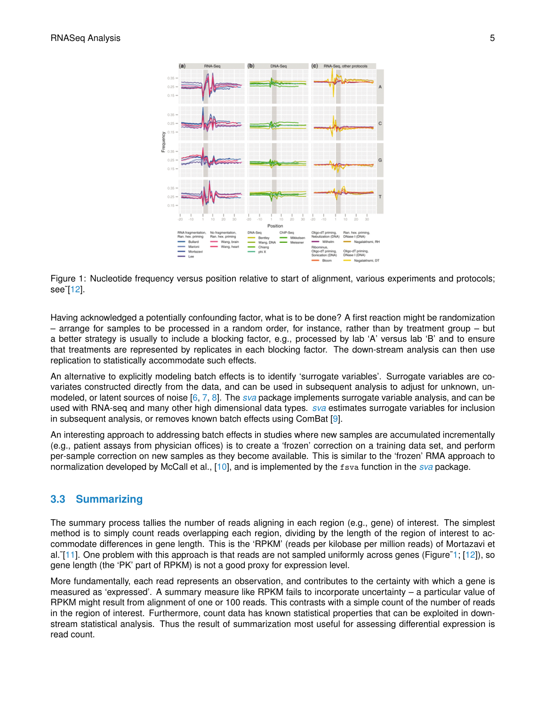

<span id="page-4-1"></span>Figure 1: Nucleotide frequency versus position relative to start of alignment, various experiments and protocols; see˜[\[12\]](#page-7-4).

Having acknowledged a potentially confounding factor, what is to be done? A first reaction might be randomization – arrange for samples to be processed in a random order, for instance, rather than by treatment group – but a better strategy is usually to include a blocking factor, e.g., processed by lab 'A' versus lab 'B' and to ensure that treatments are represented by replicates in each blocking factor. The down-stream analysis can then use replication to statistically accommodate such effects.

An alternative to explicitly modeling batch effects is to identify 'surrogate variables'. Surrogate variables are covariates constructed directly from the data, and can be used in subsequent analysis to adjust for unknown, unmodeled, or latent sources of noise [\[6,](#page-7-5) [7,](#page-7-6) [8\]](#page-7-7). The *[sva](http://bioconductor.org/packages/release/bioc/html/sva.html)* package implements surrogate variable analysis, and can be used with RNA-seq and many other high dimensional data types. *[sva](http://bioconductor.org/packages/release/bioc/html/sva.html)* estimates surrogate variables for inclusion in subsequent analysis, or removes known batch effects using ComBat [\[9\]](#page-7-8).

An interesting approach to addressing batch effects in studies where new samples are accumulated incrementally (e.g., patient assays from physician offices) is to create a 'frozen' correction on a training data set, and perform per-sample correction on new samples as they become available. This is similar to the 'frozen' RMA approach to normalization developed by McCall et al., [\[10\]](#page-7-9), and is implemented by the fsva function in the *[sva](http://bioconductor.org/packages/release/bioc/html/sva.html)* package.

#### <span id="page-4-0"></span>**3.3 Summarizing**

The summary process tallies the number of reads aligning in each region (e.g., gene) of interest. The simplest method is to simply count reads overlapping each region, dividing by the length of the region of interest to accommodate differences in gene length. This is the 'RPKM' (reads per kilobase per million reads) of Mortazavi et al. [\[11\]](#page-7-10). One problem with this approach is that reads are not sampled uniformly across genes (Figure~1; [\[12\]](#page-7-4)), so gene length (the 'PK' part of RPKM) is not a good proxy for expression level.

More fundamentally, each read represents an observation, and contributes to the certainty with which a gene is measured as 'expressed'. A summary measure like RPKM fails to incorporate uncertainty – a particular value of RPKM might result from alignment of one or 100 reads. This contrasts with a simple count of the number of reads in the region of interest. Furthermore, count data has known statistical properties that can be exploited in downstream statistical analysis. Thus the result of summarization most useful for assessing differential expression is read count.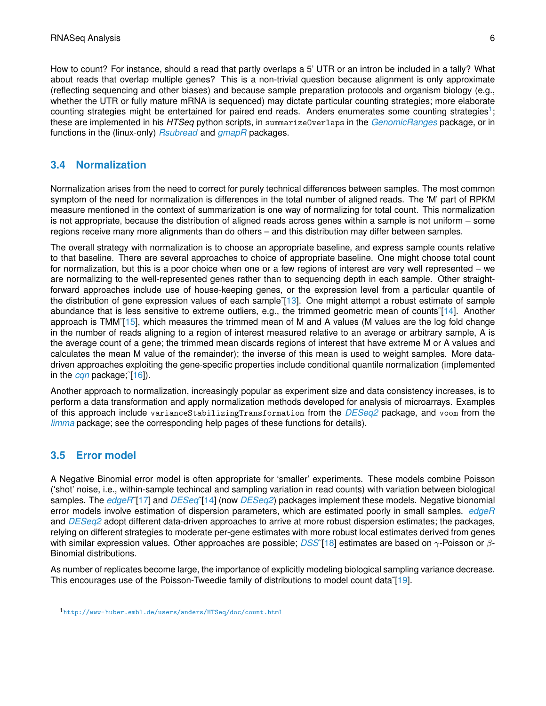How to count? For instance, should a read that partly overlaps a 5' UTR or an intron be included in a tally? What about reads that overlap multiple genes? This is a non-trivial question because alignment is only approximate (reflecting sequencing and other biases) and because sample preparation protocols and organism biology (e.g., whether the UTR or fully mature mRNA is sequenced) may dictate particular counting strategies; more elaborate counting strategies might be entertained for paired end reads. Anders enumerates some counting strategies<sup>[1](#page-5-3)</sup>; these are implemented in his *HTSeq* python scripts, in summarizeOverlaps in the *[GenomicRanges](http://bioconductor.org/packages/release/bioc/html/GenomicRanges.html)* package, or in functions in the (linux-only) *[Rsubread](http://bioconductor.org/packages/release/bioc/html/Rsubread.html)* and *[gmapR](http://bioconductor.org/packages/release/bioc/html/gmapR.html)* packages.

### <span id="page-5-0"></span>**3.4 Normalization**

Normalization arises from the need to correct for purely technical differences between samples. The most common symptom of the need for normalization is differences in the total number of aligned reads. The 'M' part of RPKM measure mentioned in the context of summarization is one way of normalizing for total count. This normalization is not appropriate, because the distribution of aligned reads across genes within a sample is not uniform – some regions receive many more alignments than do others – and this distribution may differ between samples.

The overall strategy with normalization is to choose an appropriate baseline, and express sample counts relative to that baseline. There are several approaches to choice of appropriate baseline. One might choose total count for normalization, but this is a poor choice when one or a few regions of interest are very well represented – we are normalizing to the well-represented genes rather than to sequencing depth in each sample. Other straightforward approaches include use of house-keeping genes, or the expression level from a particular quantile of the distribution of gene expression values of each sample [\[13\]](#page-7-11). One might attempt a robust estimate of sample abundance that is less sensitive to extreme outliers, e.g., the trimmed geometric mean of counts˜[\[14\]](#page-7-12). Another approach is TMM˜[\[15\]](#page-7-13), which measures the trimmed mean of M and A values (M values are the log fold change in the number of reads aligning to a region of interest measured relative to an average or arbitrary sample, A is the average count of a gene; the trimmed mean discards regions of interest that have extreme M or A values and calculates the mean M value of the remainder); the inverse of this mean is used to weight samples. More datadriven approaches exploiting the gene-specific properties include conditional quantile normalization (implemented in the *[cqn](http://bioconductor.org/packages/release/bioc/html/cqn.html)* package;˜[\[16\]](#page-7-14)).

Another approach to normalization, increasingly popular as experiment size and data consistency increases, is to perform a data transformation and apply normalization methods developed for analysis of microarrays. Examples of this approach include varianceStabilizingTransformation from the *[DESeq2](http://bioconductor.org/packages/release/bioc/html/DESeq2.html)* package, and voom from the *[limma](http://bioconductor.org/packages/release/bioc/html/limma.html)* package; see the corresponding help pages of these functions for details).

### <span id="page-5-1"></span>**3.5 Error model**

A Negative Binomial error model is often appropriate for 'smaller' experiments. These models combine Poisson ('shot' noise, i.e., within-sample techincal and sampling variation in read counts) with variation between biological samples. The *[edgeR](http://bioconductor.org/packages/release/bioc/html/edgeR.html)*˜[\[17\]](#page-7-15) and *[DESeq](http://bioconductor.org/packages/release/bioc/html/DESeq.html)*˜[\[14\]](#page-7-12) (now *[DESeq2](http://bioconductor.org/packages/release/bioc/html/DESeq2.html)*) packages implement these models. Negative bionomial error models involve estimation of dispersion parameters, which are estimated poorly in small samples. *[edgeR](http://bioconductor.org/packages/release/bioc/html/edgeR.html)* and *[DESeq2](http://bioconductor.org/packages/release/bioc/html/DESeq2.html)* adopt different data-driven approaches to arrive at more robust dispersion estimates; the packages, relying on different strategies to moderate per-gene estimates with more robust local estimates derived from genes with similar expression values. Other approaches are possible; *[DSS](http://bioconductor.org/packages/release/bioc/html/DSS.html)*˜[\[18\]](#page-7-16) estimates are based on γ-Poisson or β-Binomial distributions.

As number of replicates become large, the importance of explicitly modeling biological sampling variance decrease. This encourages use of the Poisson-Tweedie family of distributions to model count data [\[19\]](#page-7-17).

<span id="page-5-3"></span><span id="page-5-2"></span><sup>1</sup><http://www-huber.embl.de/users/anders/HTSeq/doc/count.html>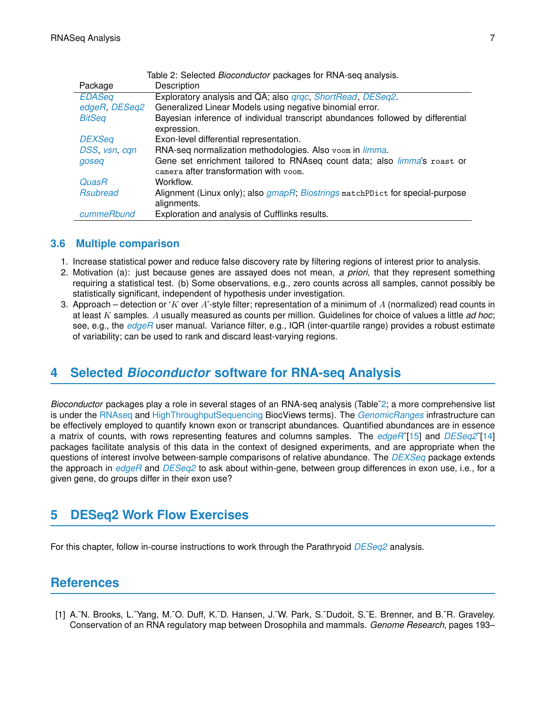<span id="page-6-3"></span>

| Table 2: Selected <i>Bioconductor</i> packages for RNA-seq analysis. |                                                                                 |  |  |
|----------------------------------------------------------------------|---------------------------------------------------------------------------------|--|--|
| Package                                                              | Description                                                                     |  |  |
| <b>EDASeq</b>                                                        | Exploratory analysis and QA; also <i>grgc, ShortRead, DESeg2.</i>               |  |  |
| edgeR, DESeq2                                                        | Generalized Linear Models using negative binomial error.                        |  |  |
| <b>BitSeq</b>                                                        | Bayesian inference of individual transcript abundances followed by differential |  |  |
|                                                                      | expression.                                                                     |  |  |
| <b>DEXSeq</b>                                                        | Exon-level differential representation.                                         |  |  |
| DSS, vsn, cqn                                                        | RNA-seq normalization methodologies. Also voom in limma.                        |  |  |
| goseq                                                                | Gene set enrichment tailored to RNAseq count data; also <i>limma's</i> roast or |  |  |
|                                                                      | camera after transformation with voom.                                          |  |  |
| <b>QuasR</b>                                                         | Workflow.                                                                       |  |  |
| <b>Rsubread</b>                                                      | Alignment (Linux only); also gmapR; Biostrings matchPDict for special-purpose   |  |  |
|                                                                      | alignments.                                                                     |  |  |
| cummeRbund                                                           | Exploration and analysis of Cufflinks results.                                  |  |  |

#### **3.6 Multiple comparison**

- 1. Increase statistical power and reduce false discovery rate by filtering regions of interest prior to analysis.
- 2. Motivation (a): just because genes are assayed does not mean, *a priori*, that they represent something requiring a statistical test. (b) Some observations, e.g., zero counts across all samples, cannot possibly be statistically significant, independent of hypothesis under investigation.
- 3. Approach detection or 'K over A'-style filter; representation of a minimum of A (normalized) read counts in at least K samples. A usually measured as counts per million. Guidelines for choice of values a little *ad hoc*; see, e.g., the *[edgeR](http://bioconductor.org/packages/release/bioc/html/edgeR.html)* user manual. Variance filter, e.g., IQR (inter-quartile range) provides a robust estimate of variability; can be used to rank and discard least-varying regions.

## <span id="page-6-0"></span>**4 Selected** *Bioconductor* **software for RNA-seq Analysis**

*Bioconductor* packages play a role in several stages of an RNA-seq analysis (Table[˜2;](#page-6-3) a more comprehensive list is under the [RNAseq](http://bioconductor.org/packages/2.10/BiocViews.html#___RNAseq) and [HighThroughputSequencing](http://bioconductor.org/packages/2.10/BiocViews.html#___HighThroughputSequencing) BiocViews terms). The *[GenomicRanges](http://bioconductor.org/packages/release/bioc/html/GenomicRanges.html)* infrastructure can be effectively employed to quantify known exon or transcript abundances. Quantified abundances are in essence a matrix of counts, with rows representing features and columns samples. The *[edgeR](http://bioconductor.org/packages/release/bioc/html/edgeR.html)*˜[\[15\]](#page-7-13) and *[DESeq2](http://bioconductor.org/packages/release/bioc/html/DESeq2.html)*˜[\[14\]](#page-7-12) packages facilitate analysis of this data in the context of designed experiments, and are appropriate when the questions of interest involve between-sample comparisons of relative abundance. The *[DEXSeq](http://bioconductor.org/packages/release/bioc/html/DEXSeq.html)* package extends the approach in *[edgeR](http://bioconductor.org/packages/release/bioc/html/edgeR.html)* and *[DESeq2](http://bioconductor.org/packages/release/bioc/html/DESeq2.html)* to ask about within-gene, between group differences in exon use, i.e., for a given gene, do groups differ in their exon use?

## <span id="page-6-1"></span>**5 DESeq2 Work Flow Exercises**

For this chapter, follow in-course instructions to work through the Parathryoid *[DESeq2](http://bioconductor.org/packages/release/bioc/html/DESeq2.html)* analysis.

## **References**

<span id="page-6-2"></span>[1] A.˜N. Brooks, L.˜Yang, M.˜O. Duff, K.˜D. Hansen, J.˜W. Park, S.˜Dudoit, S.˜E. Brenner, and B.˜R. Graveley. Conservation of an RNA regulatory map between Drosophila and mammals. *Genome Research*, pages 193–